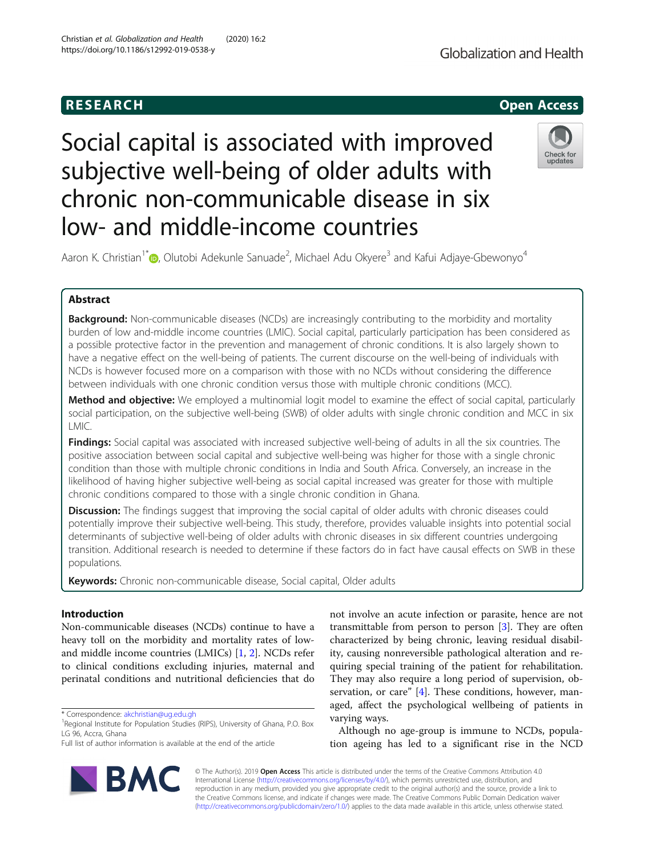# **RESEARCH CHE Open Access**

# Social capital is associated with improved subjective well-being of older adults with chronic non-communicable disease in six low- and middle-income countries



Aaron K. Christian<sup>1\*</sup> (**p**, Olutobi Adekunle Sanuade<sup>2</sup>, Michael Adu Okyere<sup>3</sup> and Kafui Adjaye-Gbewonyo<sup>4</sup>

# Abstract

**Background:** Non-communicable diseases (NCDs) are increasingly contributing to the morbidity and mortality burden of low and-middle income countries (LMIC). Social capital, particularly participation has been considered as a possible protective factor in the prevention and management of chronic conditions. It is also largely shown to have a negative effect on the well-being of patients. The current discourse on the well-being of individuals with NCDs is however focused more on a comparison with those with no NCDs without considering the difference between individuals with one chronic condition versus those with multiple chronic conditions (MCC).

Method and objective: We employed a multinomial logit model to examine the effect of social capital, particularly social participation, on the subjective well-being (SWB) of older adults with single chronic condition and MCC in six LMIC.

Findings: Social capital was associated with increased subjective well-being of adults in all the six countries. The positive association between social capital and subjective well-being was higher for those with a single chronic condition than those with multiple chronic conditions in India and South Africa. Conversely, an increase in the likelihood of having higher subjective well-being as social capital increased was greater for those with multiple chronic conditions compared to those with a single chronic condition in Ghana.

**Discussion:** The findings suggest that improving the social capital of older adults with chronic diseases could potentially improve their subjective well-being. This study, therefore, provides valuable insights into potential social determinants of subjective well-being of older adults with chronic diseases in six different countries undergoing transition. Additional research is needed to determine if these factors do in fact have causal effects on SWB in these populations.

Keywords: Chronic non-communicable disease, Social capital, Older adults

# Introduction

Non-communicable diseases (NCDs) continue to have a heavy toll on the morbidity and mortality rates of lowand middle income countries (LMICs) [\[1](#page-9-0), [2](#page-9-0)]. NCDs refer to clinical conditions excluding injuries, maternal and perinatal conditions and nutritional deficiencies that do

\* Correspondence: [akchristian@ug.edu.gh](mailto:akchristian@ug.edu.gh) <sup>1</sup>

**BMC** 



Although no age-group is immune to NCDs, population ageing has led to a significant rise in the NCD

© The Author(s). 2019 **Open Access** This article is distributed under the terms of the Creative Commons Attribution 4.0 International License [\(http://creativecommons.org/licenses/by/4.0/](http://creativecommons.org/licenses/by/4.0/)), which permits unrestricted use, distribution, and reproduction in any medium, provided you give appropriate credit to the original author(s) and the source, provide a link to the Creative Commons license, and indicate if changes were made. The Creative Commons Public Domain Dedication waiver [\(http://creativecommons.org/publicdomain/zero/1.0/](http://creativecommons.org/publicdomain/zero/1.0/)) applies to the data made available in this article, unless otherwise stated.

<sup>&</sup>lt;sup>1</sup> Regional Institute for Population Studies (RIPS), University of Ghana, P.O. Box LG 96, Accra, Ghana

Full list of author information is available at the end of the article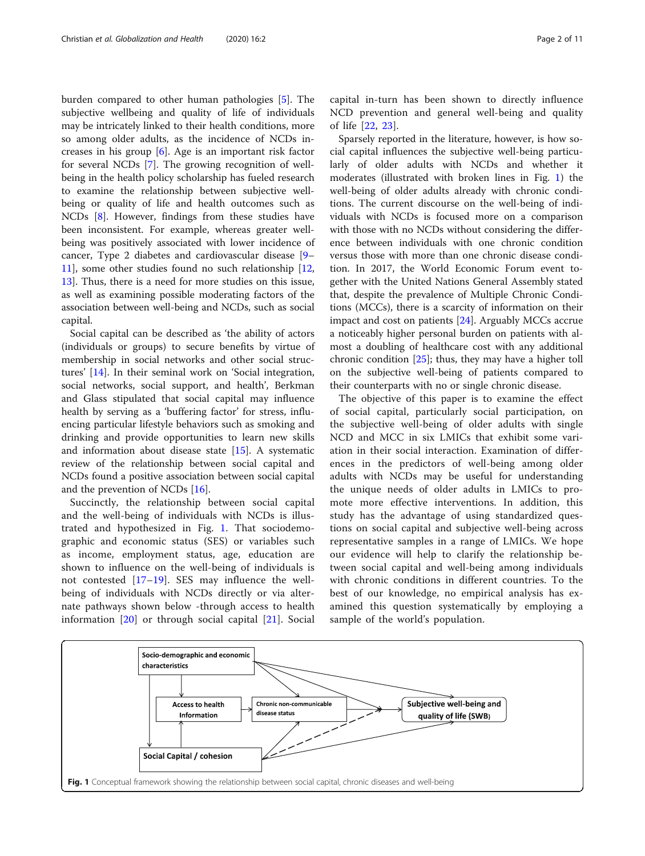<span id="page-1-0"></span>burden compared to other human pathologies [[5\]](#page-9-0). The subjective wellbeing and quality of life of individuals may be intricately linked to their health conditions, more so among older adults, as the incidence of NCDs increases in his group [[6\]](#page-9-0). Age is an important risk factor for several NCDs [\[7](#page-9-0)]. The growing recognition of wellbeing in the health policy scholarship has fueled research to examine the relationship between subjective wellbeing or quality of life and health outcomes such as NCDs [\[8](#page-9-0)]. However, findings from these studies have been inconsistent. For example, whereas greater wellbeing was positively associated with lower incidence of cancer, Type 2 diabetes and cardiovascular disease [[9](#page-9-0)– [11\]](#page-9-0), some other studies found no such relationship [[12](#page-9-0), [13\]](#page-9-0). Thus, there is a need for more studies on this issue, as well as examining possible moderating factors of the association between well-being and NCDs, such as social capital.

Social capital can be described as 'the ability of actors (individuals or groups) to secure benefits by virtue of membership in social networks and other social structures' [[14\]](#page-10-0). In their seminal work on 'Social integration, social networks, social support, and health', Berkman and Glass stipulated that social capital may influence health by serving as a 'buffering factor' for stress, influencing particular lifestyle behaviors such as smoking and drinking and provide opportunities to learn new skills and information about disease state [\[15\]](#page-10-0). A systematic review of the relationship between social capital and NCDs found a positive association between social capital and the prevention of NCDs [\[16](#page-10-0)].

Succinctly, the relationship between social capital and the well-being of individuals with NCDs is illustrated and hypothesized in Fig. 1. That sociodemographic and economic status (SES) or variables such as income, employment status, age, education are shown to influence on the well-being of individuals is not contested  $[17–19]$  $[17–19]$  $[17–19]$  $[17–19]$ . SES may influence the wellbeing of individuals with NCDs directly or via alternate pathways shown below -through access to health information [[20\]](#page-10-0) or through social capital [[21](#page-10-0)]. Social

capital in-turn has been shown to directly influence NCD prevention and general well-being and quality of life [[22,](#page-10-0) [23\]](#page-10-0).

Sparsely reported in the literature, however, is how social capital influences the subjective well-being particularly of older adults with NCDs and whether it moderates (illustrated with broken lines in Fig. 1) the well-being of older adults already with chronic conditions. The current discourse on the well-being of individuals with NCDs is focused more on a comparison with those with no NCDs without considering the difference between individuals with one chronic condition versus those with more than one chronic disease condition. In 2017, the World Economic Forum event together with the United Nations General Assembly stated that, despite the prevalence of Multiple Chronic Conditions (MCCs), there is a scarcity of information on their impact and cost on patients [[24](#page-10-0)]. Arguably MCCs accrue a noticeably higher personal burden on patients with almost a doubling of healthcare cost with any additional chronic condition [\[25](#page-10-0)]; thus, they may have a higher toll on the subjective well-being of patients compared to their counterparts with no or single chronic disease.

The objective of this paper is to examine the effect of social capital, particularly social participation, on the subjective well-being of older adults with single NCD and MCC in six LMICs that exhibit some variation in their social interaction. Examination of differences in the predictors of well-being among older adults with NCDs may be useful for understanding the unique needs of older adults in LMICs to promote more effective interventions. In addition, this study has the advantage of using standardized questions on social capital and subjective well-being across representative samples in a range of LMICs. We hope our evidence will help to clarify the relationship between social capital and well-being among individuals with chronic conditions in different countries. To the best of our knowledge, no empirical analysis has examined this question systematically by employing a sample of the world's population.

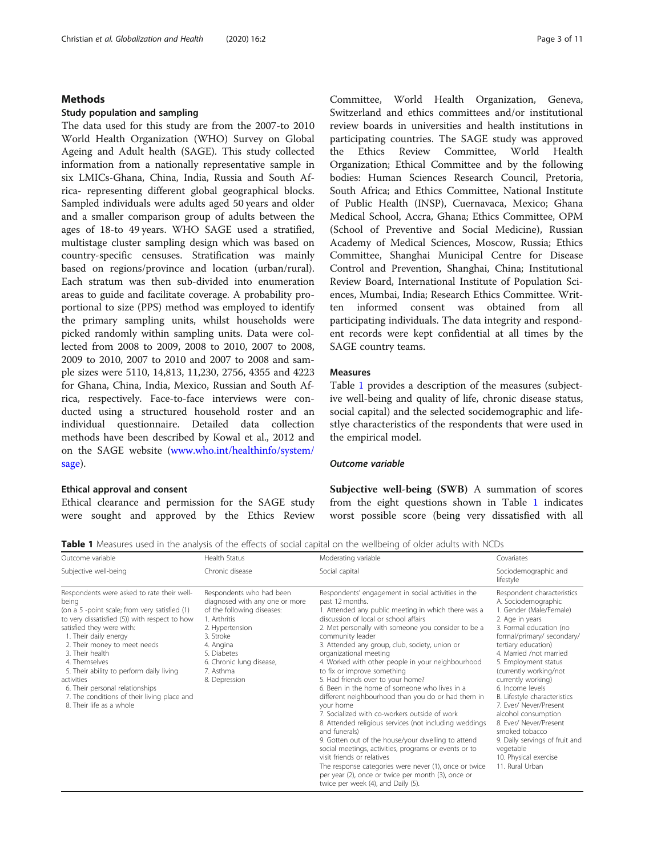## <span id="page-2-0"></span>Methods

## Study population and sampling

The data used for this study are from the 2007-to 2010 World Health Organization (WHO) Survey on Global Ageing and Adult health (SAGE). This study collected information from a nationally representative sample in six LMICs-Ghana, China, India, Russia and South Africa- representing different global geographical blocks. Sampled individuals were adults aged 50 years and older and a smaller comparison group of adults between the ages of 18-to 49 years. WHO SAGE used a stratified, multistage cluster sampling design which was based on country-specific censuses. Stratification was mainly based on regions/province and location (urban/rural). Each stratum was then sub-divided into enumeration areas to guide and facilitate coverage. A probability proportional to size (PPS) method was employed to identify the primary sampling units, whilst households were picked randomly within sampling units. Data were collected from 2008 to 2009, 2008 to 2010, 2007 to 2008, 2009 to 2010, 2007 to 2010 and 2007 to 2008 and sample sizes were 5110, 14,813, 11,230, 2756, 4355 and 4223 for Ghana, China, India, Mexico, Russian and South Africa, respectively. Face-to-face interviews were conducted using a structured household roster and an individual questionnaire. Detailed data collection methods have been described by Kowal et al., 2012 and on the SAGE website ([www.who.int/healthinfo/system/](http://www.who.int/healthinfo/system/sage) [sage\)](http://www.who.int/healthinfo/system/sage).

## Ethical approval and consent

Ethical clearance and permission for the SAGE study were sought and approved by the Ethics Review

Committee, World Health Organization, Geneva, Switzerland and ethics committees and/or institutional review boards in universities and health institutions in participating countries. The SAGE study was approved the Ethics Review Committee, World Health Organization; Ethical Committee and by the following bodies: Human Sciences Research Council, Pretoria, South Africa; and Ethics Committee, National Institute of Public Health (INSP), Cuernavaca, Mexico; Ghana Medical School, Accra, Ghana; Ethics Committee, OPM (School of Preventive and Social Medicine), Russian Academy of Medical Sciences, Moscow, Russia; Ethics Committee, Shanghai Municipal Centre for Disease Control and Prevention, Shanghai, China; Institutional Review Board, International Institute of Population Sciences, Mumbai, India; Research Ethics Committee. Written informed consent was obtained from all participating individuals. The data integrity and respondent records were kept confidential at all times by the SAGE country teams.

# Measures

Table 1 provides a description of the measures (subjective well-being and quality of life, chronic disease status, social capital) and the selected socidemographic and lifestlye characteristics of the respondents that were used in the empirical model.

# Outcome variable

Subjective well-being (SWB) A summation of scores from the eight questions shown in Table 1 indicates worst possible score (being very dissatisfied with all

Table 1 Measures used in the analysis of the effects of social capital on the wellbeing of older adults with NCDs

| Outcome variable                                                                                                                                                                                                                                                                                                                                                                                                                                        | Health Status                                                                                                                                                                                                                  | Moderating variable                                                                                                                                                                                                                                                                                                                                                                                                                                                                                                                                                                                                                                                                                                                                                                                                                                                                                                                                                                                      | Covariates                                                                                                                                                                                                                                                                                                                                                                                                                                                                                                                     |
|---------------------------------------------------------------------------------------------------------------------------------------------------------------------------------------------------------------------------------------------------------------------------------------------------------------------------------------------------------------------------------------------------------------------------------------------------------|--------------------------------------------------------------------------------------------------------------------------------------------------------------------------------------------------------------------------------|----------------------------------------------------------------------------------------------------------------------------------------------------------------------------------------------------------------------------------------------------------------------------------------------------------------------------------------------------------------------------------------------------------------------------------------------------------------------------------------------------------------------------------------------------------------------------------------------------------------------------------------------------------------------------------------------------------------------------------------------------------------------------------------------------------------------------------------------------------------------------------------------------------------------------------------------------------------------------------------------------------|--------------------------------------------------------------------------------------------------------------------------------------------------------------------------------------------------------------------------------------------------------------------------------------------------------------------------------------------------------------------------------------------------------------------------------------------------------------------------------------------------------------------------------|
| Subjective well-being                                                                                                                                                                                                                                                                                                                                                                                                                                   | Chronic disease                                                                                                                                                                                                                | Social capital                                                                                                                                                                                                                                                                                                                                                                                                                                                                                                                                                                                                                                                                                                                                                                                                                                                                                                                                                                                           | Sociodemographic and<br>lifestyle                                                                                                                                                                                                                                                                                                                                                                                                                                                                                              |
| Respondents were asked to rate their well-<br>being<br>(on a 5 -point scale; from very satisfied (1)<br>to very dissatisfied (5)) with respect to how<br>satisfied they were with:<br>1. Their daily energy<br>2. Their money to meet needs<br>3. Their health<br>4. Themselves<br>5. Their ability to perform daily living<br>activities<br>6. Their personal relationships<br>7. The conditions of their living place and<br>8. Their life as a whole | Respondents who had been<br>diagnosed with any one or more<br>of the following diseases:<br>1. Arthritis<br>2. Hypertension<br>3. Stroke<br>4. Angina<br>5. Diabetes<br>6. Chronic lung disease,<br>7. Asthma<br>8. Depression | Respondents' engagement in social activities in the<br>past 12 months.<br>1. Attended any public meeting in which there was a<br>discussion of local or school affairs<br>2. Met personally with someone you consider to be a<br>community leader<br>3. Attended any group, club, society, union or<br>organizational meeting<br>4. Worked with other people in your neighbourhood<br>to fix or improve something<br>5. Had friends over to your home?<br>6. Been in the home of someone who lives in a<br>different neighbourhood than you do or had them in<br>your home<br>7. Socialized with co-workers outside of work<br>8. Attended religious services (not including weddings<br>and funerals)<br>9. Gotten out of the house/your dwelling to attend<br>social meetings, activities, programs or events or to<br>visit friends or relatives<br>The response categories were never (1), once or twice<br>per year (2), once or twice per month (3), once or<br>twice per week (4), and Daily (5). | Respondent characteristics<br>A. Sociodemographic<br>1. Gender (Male/Female)<br>2. Age in years<br>3. Formal education (no<br>formal/primary/ secondary/<br>tertiary education)<br>4. Married /not married<br>5. Employment status<br>(currently working/not<br>currently working)<br>6. Income levels<br>B. Lifestyle characteristics<br>7. Ever/ Never/Present<br>alcohol consumption<br>8. Ever/ Never/Present<br>smoked tobacco<br>9. Daily servings of fruit and<br>vegetable<br>10. Physical exercise<br>11. Rural Urban |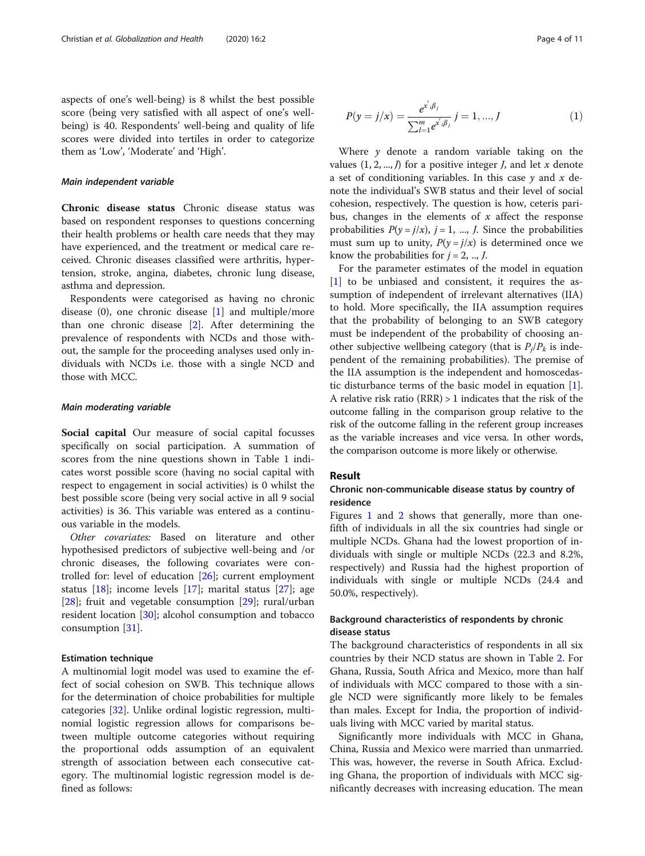aspects of one's well-being) is 8 whilst the best possible score (being very satisfied with all aspect of one's wellbeing) is 40. Respondents' well-being and quality of life scores were divided into tertiles in order to categorize them as 'Low', 'Moderate' and 'High'.

#### Main independent variable

Chronic disease status Chronic disease status was based on respondent responses to questions concerning their health problems or health care needs that they may have experienced, and the treatment or medical care received. Chronic diseases classified were arthritis, hypertension, stroke, angina, diabetes, chronic lung disease, asthma and depression.

Respondents were categorised as having no chronic disease  $(0)$ , one chronic disease  $[1]$  $[1]$  and multiple/more than one chronic disease [[2\]](#page-9-0). After determining the prevalence of respondents with NCDs and those without, the sample for the proceeding analyses used only individuals with NCDs i.e. those with a single NCD and those with MCC.

#### Main moderating variable

Social capital Our measure of social capital focusses specifically on social participation. A summation of scores from the nine questions shown in Table [1](#page-2-0) indicates worst possible score (having no social capital with respect to engagement in social activities) is 0 whilst the best possible score (being very social active in all 9 social activities) is 36. This variable was entered as a continuous variable in the models.

Other covariates: Based on literature and other hypothesised predictors of subjective well-being and /or chronic diseases, the following covariates were controlled for: level of education [\[26](#page-10-0)]; current employment status [\[18\]](#page-10-0); income levels [[17](#page-10-0)]; marital status [\[27](#page-10-0)]; age [[28\]](#page-10-0); fruit and vegetable consumption [[29\]](#page-10-0); rural/urban resident location [[30\]](#page-10-0); alcohol consumption and tobacco consumption [[31](#page-10-0)].

#### Estimation technique

A multinomial logit model was used to examine the effect of social cohesion on SWB. This technique allows for the determination of choice probabilities for multiple categories [[32\]](#page-10-0). Unlike ordinal logistic regression, multinomial logistic regression allows for comparisons between multiple outcome categories without requiring the proportional odds assumption of an equivalent strength of association between each consecutive category. The multinomial logistic regression model is defined as follows:

$$
P(y = j/x) = \frac{e^{x'_{i}\beta_{j}}}{\sum_{l=1}^{m} e^{x'_{i}\beta_{j}}} j = 1, ..., J
$$
 (1)

Where  $y$  denote a random variable taking on the values  $(1, 2, ..., l)$  for a positive integer *J*, and let *x* denote a set of conditioning variables. In this case  $y$  and  $x$  denote the individual's SWB status and their level of social cohesion, respectively. The question is how, ceteris paribus, changes in the elements of  $x$  affect the response probabilities  $P(y = j/x)$ ,  $j = 1, ..., J$ . Since the probabilities must sum up to unity,  $P(y = j/x)$  is determined once we know the probabilities for  $j = 2, ..., J$ .

For the parameter estimates of the model in equation [[1\]](#page-9-0) to be unbiased and consistent, it requires the assumption of independent of irrelevant alternatives (IIA) to hold. More specifically, the IIA assumption requires that the probability of belonging to an SWB category must be independent of the probability of choosing another subjective wellbeing category (that is  $P_i/P_k$  is independent of the remaining probabilities). The premise of the IIA assumption is the independent and homoscedastic disturbance terms of the basic model in equation [\[1](#page-9-0)]. A relative risk ratio (RRR) > 1 indicates that the risk of the outcome falling in the comparison group relative to the risk of the outcome falling in the referent group increases as the variable increases and vice versa. In other words, the comparison outcome is more likely or otherwise.

#### Result

# Chronic non-communicable disease status by country of residence

Figures [1](#page-1-0) and [2](#page-4-0) shows that generally, more than onefifth of individuals in all the six countries had single or multiple NCDs. Ghana had the lowest proportion of individuals with single or multiple NCDs (22.3 and 8.2%, respectively) and Russia had the highest proportion of individuals with single or multiple NCDs (24.4 and 50.0%, respectively).

# Background characteristics of respondents by chronic disease status

The background characteristics of respondents in all six countries by their NCD status are shown in Table [2](#page-5-0). For Ghana, Russia, South Africa and Mexico, more than half of individuals with MCC compared to those with a single NCD were significantly more likely to be females than males. Except for India, the proportion of individuals living with MCC varied by marital status.

Significantly more individuals with MCC in Ghana, China, Russia and Mexico were married than unmarried. This was, however, the reverse in South Africa. Excluding Ghana, the proportion of individuals with MCC significantly decreases with increasing education. The mean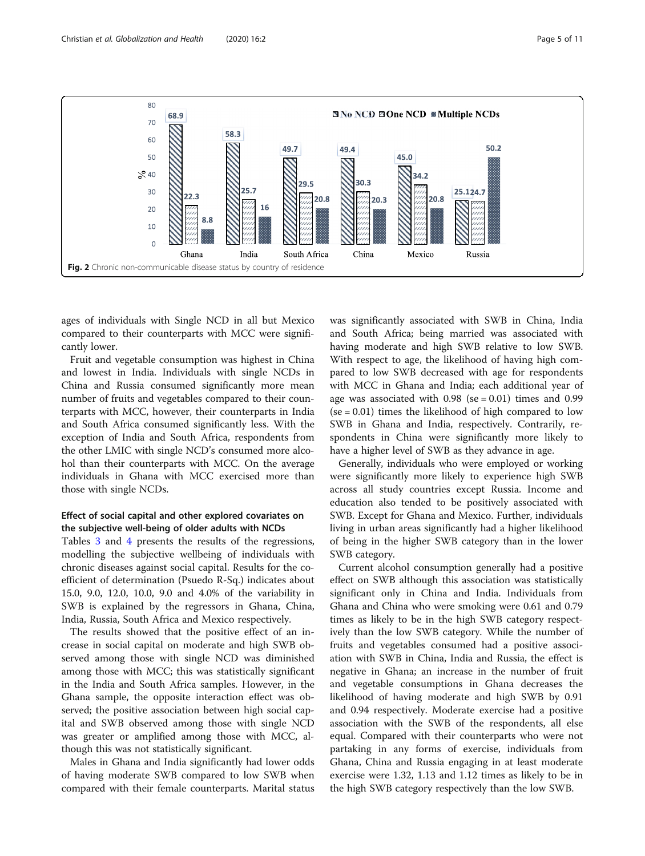<span id="page-4-0"></span>

ages of individuals with Single NCD in all but Mexico compared to their counterparts with MCC were significantly lower.

Fruit and vegetable consumption was highest in China and lowest in India. Individuals with single NCDs in China and Russia consumed significantly more mean number of fruits and vegetables compared to their counterparts with MCC, however, their counterparts in India and South Africa consumed significantly less. With the exception of India and South Africa, respondents from the other LMIC with single NCD's consumed more alcohol than their counterparts with MCC. On the average individuals in Ghana with MCC exercised more than those with single NCDs.

# Effect of social capital and other explored covariates on the subjective well-being of older adults with NCDs

Tables [3](#page-6-0) and [4](#page-7-0) presents the results of the regressions, modelling the subjective wellbeing of individuals with chronic diseases against social capital. Results for the coefficient of determination (Psuedo R-Sq.) indicates about 15.0, 9.0, 12.0, 10.0, 9.0 and 4.0% of the variability in SWB is explained by the regressors in Ghana, China, India, Russia, South Africa and Mexico respectively.

The results showed that the positive effect of an increase in social capital on moderate and high SWB observed among those with single NCD was diminished among those with MCC; this was statistically significant in the India and South Africa samples. However, in the Ghana sample, the opposite interaction effect was observed; the positive association between high social capital and SWB observed among those with single NCD was greater or amplified among those with MCC, although this was not statistically significant.

Males in Ghana and India significantly had lower odds of having moderate SWB compared to low SWB when compared with their female counterparts. Marital status was significantly associated with SWB in China, India and South Africa; being married was associated with having moderate and high SWB relative to low SWB. With respect to age, the likelihood of having high compared to low SWB decreased with age for respondents with MCC in Ghana and India; each additional year of age was associated with  $0.98$  (se = 0.01) times and 0.99  $(se = 0.01)$  times the likelihood of high compared to low SWB in Ghana and India, respectively. Contrarily, respondents in China were significantly more likely to have a higher level of SWB as they advance in age.

Generally, individuals who were employed or working were significantly more likely to experience high SWB across all study countries except Russia. Income and education also tended to be positively associated with SWB. Except for Ghana and Mexico. Further, individuals living in urban areas significantly had a higher likelihood of being in the higher SWB category than in the lower SWB category.

Current alcohol consumption generally had a positive effect on SWB although this association was statistically significant only in China and India. Individuals from Ghana and China who were smoking were 0.61 and 0.79 times as likely to be in the high SWB category respectively than the low SWB category. While the number of fruits and vegetables consumed had a positive association with SWB in China, India and Russia, the effect is negative in Ghana; an increase in the number of fruit and vegetable consumptions in Ghana decreases the likelihood of having moderate and high SWB by 0.91 and 0.94 respectively. Moderate exercise had a positive association with the SWB of the respondents, all else equal. Compared with their counterparts who were not partaking in any forms of exercise, individuals from Ghana, China and Russia engaging in at least moderate exercise were 1.32, 1.13 and 1.12 times as likely to be in the high SWB category respectively than the low SWB.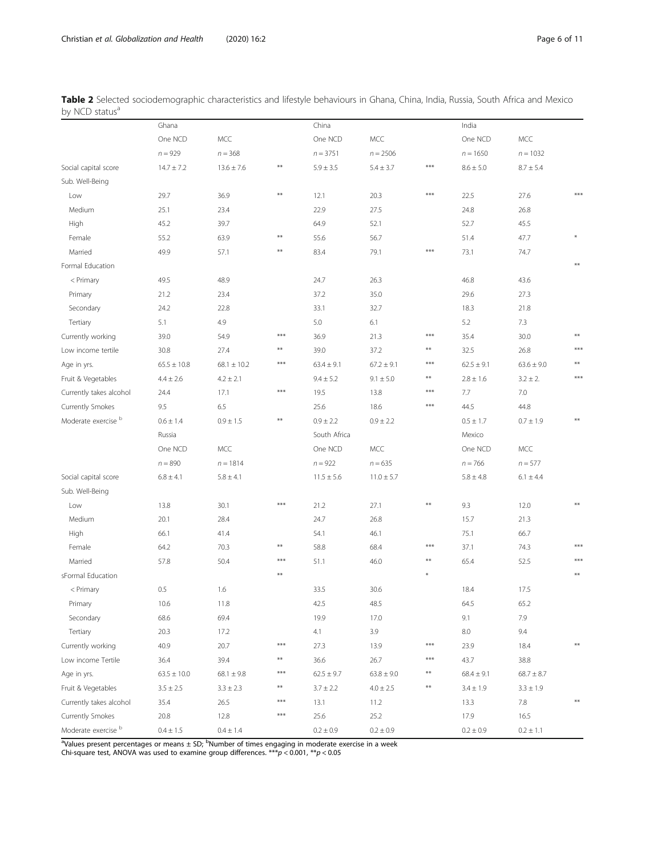<span id="page-5-0"></span>

|                            | Table 2 Selected sociodemographic characteristics and lifestyle behaviours in Ghana, China, India, Russia, South Africa and Mexico |  |  |  |  |  |  |
|----------------------------|------------------------------------------------------------------------------------------------------------------------------------|--|--|--|--|--|--|
| by NCD status <sup>a</sup> |                                                                                                                                    |  |  |  |  |  |  |

|                                | Ghana           |                 |       | China          |                |                        | India          |                |                        |
|--------------------------------|-----------------|-----------------|-------|----------------|----------------|------------------------|----------------|----------------|------------------------|
|                                | One NCD         | <b>MCC</b>      |       | One NCD        | MCC            |                        | One NCD        | MCC            |                        |
|                                | $n = 929$       | $n = 368$       |       | $n = 3751$     | $n = 2506$     |                        | $n = 1650$     | $n = 1032$     |                        |
| Social capital score           | $14.7 \pm 7.2$  | $13.6 \pm 7.6$  | $***$ | $5.9 \pm 3.5$  | $5.4 \pm 3.7$  | $***$                  | $8.6 \pm 5.0$  | $8.7 \pm 5.4$  |                        |
| Sub. Well-Being                |                 |                 |       |                |                |                        |                |                |                        |
| Low                            | 29.7            | 36.9            | $**$  | 12.1           | 20.3           | $***$                  | 22.5           | 27.6           | $***$                  |
| Medium                         | 25.1            | 23.4            |       | 22.9           | 27.5           |                        | 24.8           | 26.8           |                        |
| High                           | 45.2            | 39.7            |       | 64.9           | 52.1           |                        | 52.7           | 45.5           |                        |
| Female                         | 55.2            | 63.9            | **    | 55.6           | 56.7           |                        | 51.4           | 47.7           |                        |
| Married                        | 49.9            | 57.1            | $**$  | 83.4           | 79.1           | $***$                  | 73.1           | 74.7           |                        |
| Formal Education               |                 |                 |       |                |                |                        |                |                | $**$                   |
| < Primary                      | 49.5            | 48.9            |       | 24.7           | 26.3           |                        | 46.8           | 43.6           |                        |
| Primary                        | 21.2            | 23.4            |       | 37.2           | 35.0           |                        | 29.6           | 27.3           |                        |
| Secondary                      | 24.2            | 22.8            |       | 33.1           | 32.7           |                        | 18.3           | 21.8           |                        |
| Tertiary                       | 5.1             | 4.9             |       | 5.0            | 6.1            |                        | 5.2            | 7.3            |                        |
| Currently working              | 39.0            | 54.9            | ***   | 36.9           | 21.3           | $***$                  | 35.4           | 30.0           | $**$                   |
| Low income tertile             | 30.8            | 27.4            | **    | 39.0           | 37.2           | $\pmb{\ast}\pmb{\ast}$ | 32.5           | 26.8           | $***$                  |
| Age in yrs.                    | $65.5 \pm 10.8$ | $68.1 \pm 10.2$ | $***$ | $63.4 \pm 9.1$ | $67.2 \pm 9.1$ | $***$                  | $62.5 \pm 9.1$ | $63.6 \pm 9.0$ | $**$                   |
| Fruit & Vegetables             | $4.4 \pm 2.6$   | $4.2 \pm 2.1$   |       | $9.4 \pm 5.2$  | $9.1 \pm 5.0$  | $\pmb{\ast}\pmb{\ast}$ | $2.8 \pm 1.6$  | $3.2 \pm 2.$   | $***$                  |
| Currently takes alcohol        | 24.4            | 17.1            | ***   | 19.5           | 13.8           | $***$                  | 7.7            | 7.0            |                        |
| Currently Smokes               | 9.5             | 6.5             |       | 25.6           | 18.6           | $***$                  | 44.5           | 44.8           |                        |
| Moderate exercise <sup>b</sup> | $0.6 \pm 1.4$   | $0.9 \pm 1.5$   | **    | $0.9 \pm 2.2$  | $0.9 \pm 2.2$  |                        | $0.5 \pm 1.7$  | $0.7 \pm 1.9$  |                        |
|                                | Russia          |                 |       | South Africa   |                |                        | Mexico         |                |                        |
|                                | One NCD         | <b>MCC</b>      |       | One NCD        | MCC            |                        | One NCD        | MCC            |                        |
|                                | $n = 890$       | $n = 1814$      |       | $n = 922$      | $n = 635$      |                        | $n = 766$      | $n = 577$      |                        |
| Social capital score           | $6.8 \pm 4.1$   | $5.8 \pm 4.1$   |       | $11.5 \pm 5.6$ | $11.0 \pm 5.7$ |                        | $5.8 \pm 4.8$  | $6.1 \pm 4.4$  |                        |
| Sub. Well-Being                |                 |                 |       |                |                |                        |                |                |                        |
| Low                            | 13.8            | 30.1            | ***   | 21.2           | 27.1           | $\pmb{\ast}\pmb{\ast}$ | 9.3            | 12.0           | $**$                   |
| Medium                         | 20.1            | 28.4            |       | 24.7           | 26.8           |                        | 15.7           | 21.3           |                        |
| High                           | 66.1            | 41.4            |       | 54.1           | 46.1           |                        | 75.1           | 66.7           |                        |
| Female                         | 64.2            | 70.3            | $**$  | 58.8           | 68.4           | $***$                  | 37.1           | 74.3           | $***$                  |
| Married                        | 57.8            | 50.4            | ***   | 51.1           | 46.0           | $\pmb{\ast}\pmb{\ast}$ | 65.4           | 52.5           | ***                    |
| sFormal Education              |                 |                 | $**$  |                |                |                        |                |                | **                     |
| < Primary                      | 0.5             | 1.6             |       | 33.5           | 30.6           |                        | 18.4           | 17.5           |                        |
| Primary                        | $10.6\,$        | 11.8            |       | 42.5           | 48.5           |                        | 64.5           | 65.2           |                        |
| Secondary                      | 68.6            | 69.4            |       | 19.9           | 17.0           |                        | 9.1            | 7.9            |                        |
| Tertiary                       | 20.3            | 17.2            |       | 4.1            | 3.9            |                        | $8.0\,$        | 9.4            |                        |
| Currently working              | 40.9            | 20.7            | ***   | 27.3           | 13.9           | $***$                  | 23.9           | 18.4           | $\pmb{\ast}\pmb{\ast}$ |
| Low income Tertile             | 36.4            | 39.4            | **    | 36.6           | 26.7           | $***$                  | 43.7           | 38.8           |                        |
| Age in yrs.                    | $63.5 \pm 10.0$ | $68.1 \pm 9.8$  | ***   | $62.5 \pm 9.7$ | $63.8 \pm 9.0$ | **                     | $68.4 \pm 9.1$ | $68.7 \pm 8.7$ |                        |
| Fruit & Vegetables             | $3.5 \pm 2.5$   | $3.3 \pm 2.3$   | $***$ | $3.7 \pm 2.2$  | $4.0 \pm 2.5$  | $***$                  | $3.4 \pm 1.9$  | $3.3 \pm 1.9$  |                        |
| Currently takes alcohol        | 35.4            | 26.5            | $***$ | 13.1           | 11.2           |                        | 13.3           | 7.8            | $\pmb{\ast}\pmb{\ast}$ |
| Currently Smokes               | 20.8            | 12.8            | ***   | $25.6\,$       | 25.2           |                        | 17.9           | 16.5           |                        |
| Moderate exercise <sup>b</sup> | $0.4\pm1.5$     | $0.4 \pm 1.4$   |       | $0.2 \pm 0.9$  | $0.2 \pm 0.9$  |                        | $0.2 \pm 0.9$  | $0.2 \pm 1.1$  |                        |

<sup>a</sup>Values present percentages or means ± SD; <sup>b</sup>Number of times engaging in moderate exercise in a week<br>Chi-square test, ANOVA was used to examine group differences. \*\*\*p < 0.001, \*\*p < 0.05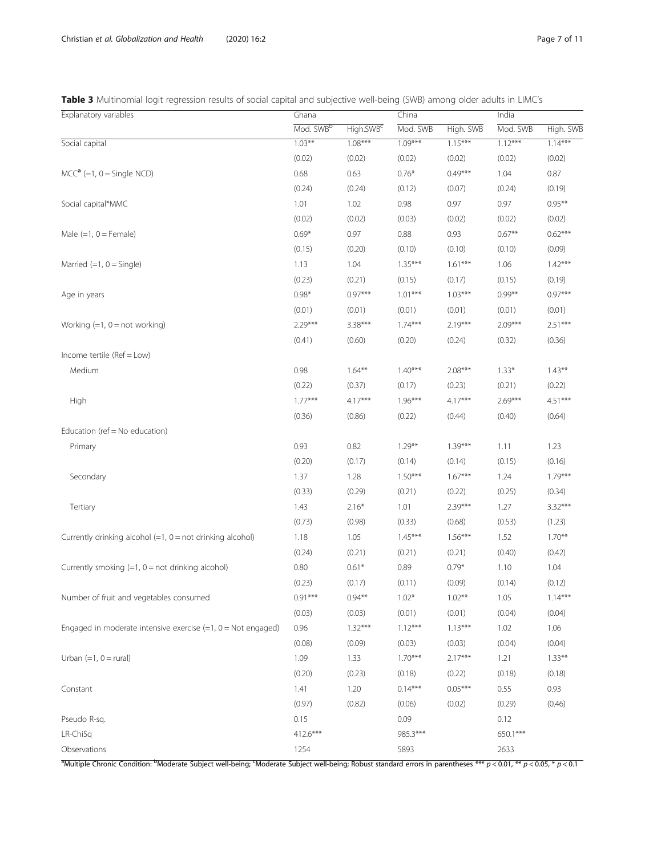# <span id="page-6-0"></span>Table 3 Multinomial logit regression results of social capital and subjective well-being (SWB) among older adults in LIMC's

| Explanatory variables                                           | Ghana                 |                       | China     |           | India     |           |
|-----------------------------------------------------------------|-----------------------|-----------------------|-----------|-----------|-----------|-----------|
|                                                                 | Mod. SWB <sup>b</sup> | High.SWB <sup>c</sup> | Mod. SWB  | High. SWB | Mod. SWB  | High. SWB |
| Social capital                                                  | $1.03***$             | $1.08***$             | $1.09***$ | $1.15***$ | $1.12***$ | $1.14***$ |
|                                                                 | (0.02)                | (0.02)                | (0.02)    | (0.02)    | (0.02)    | (0.02)    |
| $MCCa (=1, 0 = Single NCD)$                                     | 0.68                  | 0.63                  | $0.76*$   | $0.49***$ | 1.04      | 0.87      |
|                                                                 | (0.24)                | (0.24)                | (0.12)    | (0.07)    | (0.24)    | (0.19)    |
| Social capital*MMC                                              | 1.01                  | 1.02                  | 0.98      | 0.97      | 0.97      | $0.95***$ |
|                                                                 | (0.02)                | (0.02)                | (0.03)    | (0.02)    | (0.02)    | (0.02)    |
| Male $(=1, 0 =$ Female)                                         | $0.69*$               | 0.97                  | 0.88      | 0.93      | $0.67**$  | $0.62***$ |
|                                                                 | (0.15)                | (0.20)                | (0.10)    | (0.10)    | (0.10)    | (0.09)    |
| Married $(=1, 0 =$ Single)                                      | 1.13                  | 1.04                  | $1.35***$ | $1.61***$ | 1.06      | $1.42***$ |
|                                                                 | (0.23)                | (0.21)                | (0.15)    | (0.17)    | (0.15)    | (0.19)    |
| Age in years                                                    | $0.98*$               | $0.97***$             | $1.01***$ | $1.03***$ | $0.99**$  | $0.97***$ |
|                                                                 | (0.01)                | (0.01)                | (0.01)    | (0.01)    | (0.01)    | (0.01)    |
| Working $(=1, 0 = not working)$                                 | $2.29***$             | $3.38***$             | $1.74***$ | $2.19***$ | $2.09***$ | $2.51***$ |
|                                                                 | (0.41)                | (0.60)                | (0.20)    | (0.24)    | (0.32)    | (0.36)    |
| Income tertile (Ref = Low)                                      |                       |                       |           |           |           |           |
| Medium                                                          | 0.98                  | $1.64***$             | $1.40***$ | $2.08***$ | $1.33*$   | $1.43**$  |
|                                                                 | (0.22)                | (0.37)                | (0.17)    | (0.23)    | (0.21)    | (0.22)    |
| High                                                            | $1.77***$             | $4.17***$             | $1.96***$ | $4.17***$ | $2.69***$ | $4.51***$ |
|                                                                 | (0.36)                | (0.86)                | (0.22)    | (0.44)    | (0.40)    | (0.64)    |
| Education (ref = $No$ education)                                |                       |                       |           |           |           |           |
| Primary                                                         | 0.93                  | 0.82                  | $1.29***$ | $1.39***$ | 1.11      | 1.23      |
|                                                                 | (0.20)                | (0.17)                | (0.14)    | (0.14)    | (0.15)    | (0.16)    |
| Secondary                                                       | 1.37                  | 1.28                  | $1.50***$ | $1.67***$ | 1.24      | $1.79***$ |
|                                                                 | (0.33)                | (0.29)                | (0.21)    | (0.22)    | (0.25)    | (0.34)    |
| Tertiary                                                        | 1.43                  | $2.16*$               | 1.01      | $2.39***$ | 1.27      | $3.32***$ |
|                                                                 | (0.73)                | (0.98)                | (0.33)    | (0.68)    | (0.53)    | (1.23)    |
| Currently drinking alcohol $(=1, 0 = not$ drinking alcohol)     | 1.18                  | 1.05                  | $1.45***$ | $1.56***$ | 1.52      | $1.70***$ |
|                                                                 | (0.24)                | (0.21)                | (0.21)    | (0.21)    | (0.40)    | (0.42)    |
| Currently smoking $(=1, 0 = not$ drinking alcohol)              | 0.80                  | $0.61*$               | 0.89      | $0.79*$   | 1.10      | 1.04      |
|                                                                 | (0.23)                | (0.17)                | (0.11)    | (0.09)    | (0.14)    | (0.12)    |
| Number of fruit and vegetables consumed                         | $0.91***$             | $0.94**$              | $1.02*$   | $1.02***$ | 1.05      | $1.14***$ |
|                                                                 | (0.03)                | (0.03)                | (0.01)    | (0.01)    | (0.04)    | (0.04)    |
| Engaged in moderate intensive exercise $(=1, 0)$ = Not engaged) | 0.96                  | $1.32***$             | $1.12***$ | $1.13***$ | 1.02      | 1.06      |
|                                                                 | (0.08)                | (0.09)                | (0.03)    | (0.03)    | (0.04)    | (0.04)    |
| Urban $(=1, 0 = \text{rural})$                                  | 1.09                  | 1.33                  | $1.70***$ | $2.17***$ | 1.21      | $1.33***$ |
|                                                                 | (0.20)                | (0.23)                | (0.18)    | (0.22)    | (0.18)    | (0.18)    |
| Constant                                                        | 1.41                  | 1.20                  | $0.14***$ | $0.05***$ | 0.55      | 0.93      |
|                                                                 | (0.97)                | (0.82)                | (0.06)    | (0.02)    | (0.29)    | (0.46)    |
| Pseudo R-sq.                                                    | 0.15                  |                       | 0.09      |           | 0.12      |           |
| LR-ChiSq                                                        | 412.6***              |                       | 985.3***  |           | 650.1***  |           |
| Observations                                                    | 1254                  |                       | 5893      |           | 2633      |           |
|                                                                 |                       |                       |           |           |           |           |

<sup>a</sup>Multiple Chronic Condition: <sup>b</sup>Moderate Subject well-being; <sup>c</sup>Moderate Subject well-being; Robust standard errors in parentheses \*\*\*  $p < 0.01$ , \*\*  $p < 0.05$ , \*  $p < 0.1$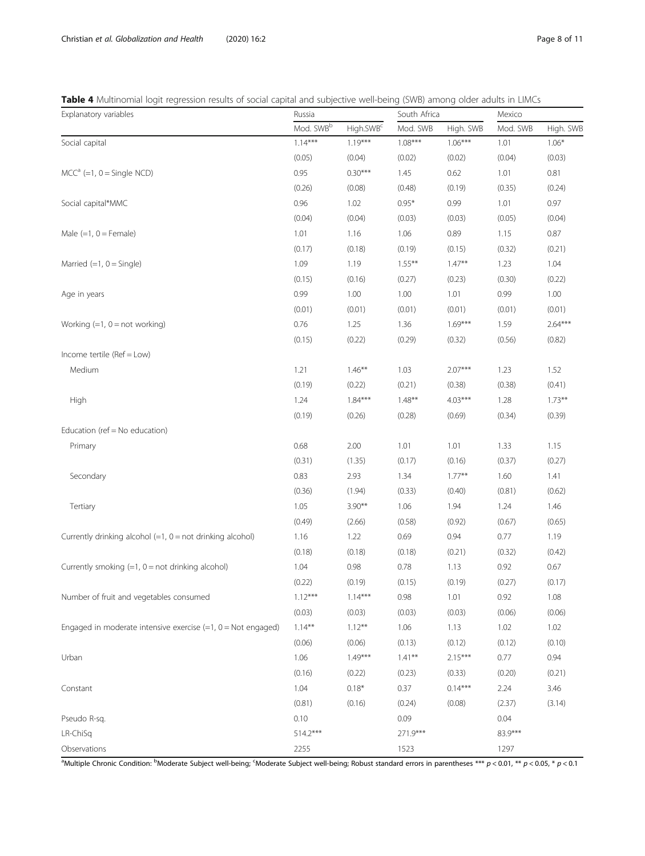# <span id="page-7-0"></span>Table 4 Multinomial logit regression results of social capital and subjective well-being (SWB) among older adults in LIMCs

| Mod. SWBb<br>High.SWB <sup>c</sup><br>Mod. SWB<br>High. SWB<br>Mod. SWB<br>High. SWB<br>$1.14***$<br>$1.08***$<br>$1.19***$<br>$1.06***$<br>$1.06*$<br>Social capital<br>1.01<br>(0.04)<br>(0.05)<br>(0.04)<br>(0.02)<br>(0.02)<br>(0.03)<br>$MCCa (=1, 0 = Single NCD)$<br>$0.30***$<br>0.95<br>1.45<br>0.62<br>1.01<br>0.81<br>(0.08)<br>(0.35)<br>(0.24)<br>(0.26)<br>(0.48)<br>(0.19)<br>Social capital*MMC<br>0.96<br>1.02<br>$0.95*$<br>0.99<br>1.01<br>0.97<br>(0.04)<br>(0.04)<br>(0.04)<br>(0.03)<br>(0.03)<br>(0.05)<br>Male $(=1, 0 =$ Female)<br>1.01<br>1.16<br>1.06<br>0.89<br>1.15<br>0.87<br>(0.18)<br>(0.17)<br>(0.19)<br>(0.15)<br>(0.32)<br>(0.21)<br>Married $(=1, 0 =$ Single)<br>1.19<br>$1.55***$<br>$1.47***$<br>1.23<br>1.04<br>1.09<br>(0.15)<br>(0.16)<br>(0.27)<br>(0.23)<br>(0.30)<br>(0.22)<br>0.99<br>1.00<br>1.00<br>1.01<br>0.99<br>1.00<br>Age in years<br>(0.01)<br>(0.01)<br>(0.01)<br>(0.01)<br>(0.01)<br>(0.01)<br>$1.69***$<br>$2.64***$<br>0.76<br>1.25<br>1.36<br>1.59<br>Working $(=1, 0 = not working)$<br>(0.15)<br>(0.22)<br>(0.29)<br>(0.56)<br>(0.82)<br>(0.32)<br>Income tertile (Ref = Low)<br>Medium<br>1.21<br>$1.46***$<br>1.03<br>$2.07***$<br>1.23<br>1.52<br>(0.22)<br>(0.41)<br>(0.19)<br>(0.21)<br>(0.38)<br>(0.38)<br>$1.84***$<br>$4.03***$<br>$1.73**$<br>$1.48***$<br>1.28<br>High<br>1.24<br>(0.19)<br>(0.26)<br>(0.28)<br>(0.69)<br>(0.34)<br>(0.39)<br>Education (ref = No education)<br>1.01<br>0.68<br>2.00<br>1.01<br>1.33<br>1.15<br>Primary<br>(0.17)<br>(0.27)<br>(0.31)<br>(1.35)<br>(0.16)<br>(0.37)<br>Secondary<br>0.83<br>2.93<br>1.34<br>$1.77***$<br>1.60<br>1.41<br>(0.36)<br>(1.94)<br>(0.33)<br>(0.40)<br>(0.81)<br>(0.62)<br>Tertiary<br>1.05<br>$3.90**$<br>1.06<br>1.94<br>1.24<br>1.46<br>(0.49)<br>(2.66)<br>(0.58)<br>(0.92)<br>(0.67)<br>(0.65)<br>Currently drinking alcohol $(=1, 0 = not$ drinking alcohol)<br>1.22<br>0.69<br>0.94<br>0.77<br>1.19<br>1.16<br>(0.18)<br>(0.18)<br>(0.18)<br>(0.21)<br>(0.32)<br>(0.42)<br>Currently smoking $(=1, 0 = not$ drinking alcohol)<br>0.98<br>0.78<br>0.92<br>0.67<br>1.04<br>1.13<br>(0.27)<br>(0.17)<br>(0.22)<br>(0.19)<br>(0.15)<br>(0.19)<br>0.92<br>1.01<br>$1.12***$<br>$1.14***$<br>0.98<br>1.08<br>Number of fruit and vegetables consumed<br>(0.03)<br>(0.03)<br>(0.03)<br>(0.03)<br>(0.06)<br>(0.06)<br>$1.14***$<br>$1.12***$<br>Engaged in moderate intensive exercise $(=1, 0)$ = Not engaged)<br>1.06<br>1.13<br>1.02<br>1.02<br>(0.06)<br>(0.06)<br>(0.13)<br>(0.12)<br>(0.12)<br>(0.10)<br>$1.49***$<br>$1.41***$<br>$2.15***$<br>1.06<br>0.77<br>0.94<br>Urban<br>(0.16)<br>(0.22)<br>(0.23)<br>(0.20)<br>(0.21)<br>(0.33)<br>$0.18*$<br>$0.14***$<br>1.04<br>0.37<br>2.24<br>3.46<br>Constant<br>(0.16)<br>(0.81)<br>(0.24)<br>(0.08)<br>(2.37)<br>(3.14)<br>0.09<br>0.10<br>0.04<br>Pseudo R-sq.<br>83.9***<br>$514.2***$<br>271.9***<br>LR-ChiSq | Explanatory variables | Russia |  | South Africa | Mexico |  |
|------------------------------------------------------------------------------------------------------------------------------------------------------------------------------------------------------------------------------------------------------------------------------------------------------------------------------------------------------------------------------------------------------------------------------------------------------------------------------------------------------------------------------------------------------------------------------------------------------------------------------------------------------------------------------------------------------------------------------------------------------------------------------------------------------------------------------------------------------------------------------------------------------------------------------------------------------------------------------------------------------------------------------------------------------------------------------------------------------------------------------------------------------------------------------------------------------------------------------------------------------------------------------------------------------------------------------------------------------------------------------------------------------------------------------------------------------------------------------------------------------------------------------------------------------------------------------------------------------------------------------------------------------------------------------------------------------------------------------------------------------------------------------------------------------------------------------------------------------------------------------------------------------------------------------------------------------------------------------------------------------------------------------------------------------------------------------------------------------------------------------------------------------------------------------------------------------------------------------------------------------------------------------------------------------------------------------------------------------------------------------------------------------------------------------------------------------------------------------------------------------------------------------------------------------------------------------------------------------------------------------------------------------------------------------------------------------------------------------------------------------------------------------------------------------------------------------------------------------------------------------------------------------------|-----------------------|--------|--|--------------|--------|--|
|                                                                                                                                                                                                                                                                                                                                                                                                                                                                                                                                                                                                                                                                                                                                                                                                                                                                                                                                                                                                                                                                                                                                                                                                                                                                                                                                                                                                                                                                                                                                                                                                                                                                                                                                                                                                                                                                                                                                                                                                                                                                                                                                                                                                                                                                                                                                                                                                                                                                                                                                                                                                                                                                                                                                                                                                                                                                                                            |                       |        |  |              |        |  |
|                                                                                                                                                                                                                                                                                                                                                                                                                                                                                                                                                                                                                                                                                                                                                                                                                                                                                                                                                                                                                                                                                                                                                                                                                                                                                                                                                                                                                                                                                                                                                                                                                                                                                                                                                                                                                                                                                                                                                                                                                                                                                                                                                                                                                                                                                                                                                                                                                                                                                                                                                                                                                                                                                                                                                                                                                                                                                                            |                       |        |  |              |        |  |
|                                                                                                                                                                                                                                                                                                                                                                                                                                                                                                                                                                                                                                                                                                                                                                                                                                                                                                                                                                                                                                                                                                                                                                                                                                                                                                                                                                                                                                                                                                                                                                                                                                                                                                                                                                                                                                                                                                                                                                                                                                                                                                                                                                                                                                                                                                                                                                                                                                                                                                                                                                                                                                                                                                                                                                                                                                                                                                            |                       |        |  |              |        |  |
|                                                                                                                                                                                                                                                                                                                                                                                                                                                                                                                                                                                                                                                                                                                                                                                                                                                                                                                                                                                                                                                                                                                                                                                                                                                                                                                                                                                                                                                                                                                                                                                                                                                                                                                                                                                                                                                                                                                                                                                                                                                                                                                                                                                                                                                                                                                                                                                                                                                                                                                                                                                                                                                                                                                                                                                                                                                                                                            |                       |        |  |              |        |  |
|                                                                                                                                                                                                                                                                                                                                                                                                                                                                                                                                                                                                                                                                                                                                                                                                                                                                                                                                                                                                                                                                                                                                                                                                                                                                                                                                                                                                                                                                                                                                                                                                                                                                                                                                                                                                                                                                                                                                                                                                                                                                                                                                                                                                                                                                                                                                                                                                                                                                                                                                                                                                                                                                                                                                                                                                                                                                                                            |                       |        |  |              |        |  |
|                                                                                                                                                                                                                                                                                                                                                                                                                                                                                                                                                                                                                                                                                                                                                                                                                                                                                                                                                                                                                                                                                                                                                                                                                                                                                                                                                                                                                                                                                                                                                                                                                                                                                                                                                                                                                                                                                                                                                                                                                                                                                                                                                                                                                                                                                                                                                                                                                                                                                                                                                                                                                                                                                                                                                                                                                                                                                                            |                       |        |  |              |        |  |
|                                                                                                                                                                                                                                                                                                                                                                                                                                                                                                                                                                                                                                                                                                                                                                                                                                                                                                                                                                                                                                                                                                                                                                                                                                                                                                                                                                                                                                                                                                                                                                                                                                                                                                                                                                                                                                                                                                                                                                                                                                                                                                                                                                                                                                                                                                                                                                                                                                                                                                                                                                                                                                                                                                                                                                                                                                                                                                            |                       |        |  |              |        |  |
|                                                                                                                                                                                                                                                                                                                                                                                                                                                                                                                                                                                                                                                                                                                                                                                                                                                                                                                                                                                                                                                                                                                                                                                                                                                                                                                                                                                                                                                                                                                                                                                                                                                                                                                                                                                                                                                                                                                                                                                                                                                                                                                                                                                                                                                                                                                                                                                                                                                                                                                                                                                                                                                                                                                                                                                                                                                                                                            |                       |        |  |              |        |  |
|                                                                                                                                                                                                                                                                                                                                                                                                                                                                                                                                                                                                                                                                                                                                                                                                                                                                                                                                                                                                                                                                                                                                                                                                                                                                                                                                                                                                                                                                                                                                                                                                                                                                                                                                                                                                                                                                                                                                                                                                                                                                                                                                                                                                                                                                                                                                                                                                                                                                                                                                                                                                                                                                                                                                                                                                                                                                                                            |                       |        |  |              |        |  |
|                                                                                                                                                                                                                                                                                                                                                                                                                                                                                                                                                                                                                                                                                                                                                                                                                                                                                                                                                                                                                                                                                                                                                                                                                                                                                                                                                                                                                                                                                                                                                                                                                                                                                                                                                                                                                                                                                                                                                                                                                                                                                                                                                                                                                                                                                                                                                                                                                                                                                                                                                                                                                                                                                                                                                                                                                                                                                                            |                       |        |  |              |        |  |
|                                                                                                                                                                                                                                                                                                                                                                                                                                                                                                                                                                                                                                                                                                                                                                                                                                                                                                                                                                                                                                                                                                                                                                                                                                                                                                                                                                                                                                                                                                                                                                                                                                                                                                                                                                                                                                                                                                                                                                                                                                                                                                                                                                                                                                                                                                                                                                                                                                                                                                                                                                                                                                                                                                                                                                                                                                                                                                            |                       |        |  |              |        |  |
|                                                                                                                                                                                                                                                                                                                                                                                                                                                                                                                                                                                                                                                                                                                                                                                                                                                                                                                                                                                                                                                                                                                                                                                                                                                                                                                                                                                                                                                                                                                                                                                                                                                                                                                                                                                                                                                                                                                                                                                                                                                                                                                                                                                                                                                                                                                                                                                                                                                                                                                                                                                                                                                                                                                                                                                                                                                                                                            |                       |        |  |              |        |  |
|                                                                                                                                                                                                                                                                                                                                                                                                                                                                                                                                                                                                                                                                                                                                                                                                                                                                                                                                                                                                                                                                                                                                                                                                                                                                                                                                                                                                                                                                                                                                                                                                                                                                                                                                                                                                                                                                                                                                                                                                                                                                                                                                                                                                                                                                                                                                                                                                                                                                                                                                                                                                                                                                                                                                                                                                                                                                                                            |                       |        |  |              |        |  |
|                                                                                                                                                                                                                                                                                                                                                                                                                                                                                                                                                                                                                                                                                                                                                                                                                                                                                                                                                                                                                                                                                                                                                                                                                                                                                                                                                                                                                                                                                                                                                                                                                                                                                                                                                                                                                                                                                                                                                                                                                                                                                                                                                                                                                                                                                                                                                                                                                                                                                                                                                                                                                                                                                                                                                                                                                                                                                                            |                       |        |  |              |        |  |
|                                                                                                                                                                                                                                                                                                                                                                                                                                                                                                                                                                                                                                                                                                                                                                                                                                                                                                                                                                                                                                                                                                                                                                                                                                                                                                                                                                                                                                                                                                                                                                                                                                                                                                                                                                                                                                                                                                                                                                                                                                                                                                                                                                                                                                                                                                                                                                                                                                                                                                                                                                                                                                                                                                                                                                                                                                                                                                            |                       |        |  |              |        |  |
|                                                                                                                                                                                                                                                                                                                                                                                                                                                                                                                                                                                                                                                                                                                                                                                                                                                                                                                                                                                                                                                                                                                                                                                                                                                                                                                                                                                                                                                                                                                                                                                                                                                                                                                                                                                                                                                                                                                                                                                                                                                                                                                                                                                                                                                                                                                                                                                                                                                                                                                                                                                                                                                                                                                                                                                                                                                                                                            |                       |        |  |              |        |  |
|                                                                                                                                                                                                                                                                                                                                                                                                                                                                                                                                                                                                                                                                                                                                                                                                                                                                                                                                                                                                                                                                                                                                                                                                                                                                                                                                                                                                                                                                                                                                                                                                                                                                                                                                                                                                                                                                                                                                                                                                                                                                                                                                                                                                                                                                                                                                                                                                                                                                                                                                                                                                                                                                                                                                                                                                                                                                                                            |                       |        |  |              |        |  |
|                                                                                                                                                                                                                                                                                                                                                                                                                                                                                                                                                                                                                                                                                                                                                                                                                                                                                                                                                                                                                                                                                                                                                                                                                                                                                                                                                                                                                                                                                                                                                                                                                                                                                                                                                                                                                                                                                                                                                                                                                                                                                                                                                                                                                                                                                                                                                                                                                                                                                                                                                                                                                                                                                                                                                                                                                                                                                                            |                       |        |  |              |        |  |
|                                                                                                                                                                                                                                                                                                                                                                                                                                                                                                                                                                                                                                                                                                                                                                                                                                                                                                                                                                                                                                                                                                                                                                                                                                                                                                                                                                                                                                                                                                                                                                                                                                                                                                                                                                                                                                                                                                                                                                                                                                                                                                                                                                                                                                                                                                                                                                                                                                                                                                                                                                                                                                                                                                                                                                                                                                                                                                            |                       |        |  |              |        |  |
|                                                                                                                                                                                                                                                                                                                                                                                                                                                                                                                                                                                                                                                                                                                                                                                                                                                                                                                                                                                                                                                                                                                                                                                                                                                                                                                                                                                                                                                                                                                                                                                                                                                                                                                                                                                                                                                                                                                                                                                                                                                                                                                                                                                                                                                                                                                                                                                                                                                                                                                                                                                                                                                                                                                                                                                                                                                                                                            |                       |        |  |              |        |  |
|                                                                                                                                                                                                                                                                                                                                                                                                                                                                                                                                                                                                                                                                                                                                                                                                                                                                                                                                                                                                                                                                                                                                                                                                                                                                                                                                                                                                                                                                                                                                                                                                                                                                                                                                                                                                                                                                                                                                                                                                                                                                                                                                                                                                                                                                                                                                                                                                                                                                                                                                                                                                                                                                                                                                                                                                                                                                                                            |                       |        |  |              |        |  |
|                                                                                                                                                                                                                                                                                                                                                                                                                                                                                                                                                                                                                                                                                                                                                                                                                                                                                                                                                                                                                                                                                                                                                                                                                                                                                                                                                                                                                                                                                                                                                                                                                                                                                                                                                                                                                                                                                                                                                                                                                                                                                                                                                                                                                                                                                                                                                                                                                                                                                                                                                                                                                                                                                                                                                                                                                                                                                                            |                       |        |  |              |        |  |
|                                                                                                                                                                                                                                                                                                                                                                                                                                                                                                                                                                                                                                                                                                                                                                                                                                                                                                                                                                                                                                                                                                                                                                                                                                                                                                                                                                                                                                                                                                                                                                                                                                                                                                                                                                                                                                                                                                                                                                                                                                                                                                                                                                                                                                                                                                                                                                                                                                                                                                                                                                                                                                                                                                                                                                                                                                                                                                            |                       |        |  |              |        |  |
|                                                                                                                                                                                                                                                                                                                                                                                                                                                                                                                                                                                                                                                                                                                                                                                                                                                                                                                                                                                                                                                                                                                                                                                                                                                                                                                                                                                                                                                                                                                                                                                                                                                                                                                                                                                                                                                                                                                                                                                                                                                                                                                                                                                                                                                                                                                                                                                                                                                                                                                                                                                                                                                                                                                                                                                                                                                                                                            |                       |        |  |              |        |  |
|                                                                                                                                                                                                                                                                                                                                                                                                                                                                                                                                                                                                                                                                                                                                                                                                                                                                                                                                                                                                                                                                                                                                                                                                                                                                                                                                                                                                                                                                                                                                                                                                                                                                                                                                                                                                                                                                                                                                                                                                                                                                                                                                                                                                                                                                                                                                                                                                                                                                                                                                                                                                                                                                                                                                                                                                                                                                                                            |                       |        |  |              |        |  |
|                                                                                                                                                                                                                                                                                                                                                                                                                                                                                                                                                                                                                                                                                                                                                                                                                                                                                                                                                                                                                                                                                                                                                                                                                                                                                                                                                                                                                                                                                                                                                                                                                                                                                                                                                                                                                                                                                                                                                                                                                                                                                                                                                                                                                                                                                                                                                                                                                                                                                                                                                                                                                                                                                                                                                                                                                                                                                                            |                       |        |  |              |        |  |
|                                                                                                                                                                                                                                                                                                                                                                                                                                                                                                                                                                                                                                                                                                                                                                                                                                                                                                                                                                                                                                                                                                                                                                                                                                                                                                                                                                                                                                                                                                                                                                                                                                                                                                                                                                                                                                                                                                                                                                                                                                                                                                                                                                                                                                                                                                                                                                                                                                                                                                                                                                                                                                                                                                                                                                                                                                                                                                            |                       |        |  |              |        |  |
|                                                                                                                                                                                                                                                                                                                                                                                                                                                                                                                                                                                                                                                                                                                                                                                                                                                                                                                                                                                                                                                                                                                                                                                                                                                                                                                                                                                                                                                                                                                                                                                                                                                                                                                                                                                                                                                                                                                                                                                                                                                                                                                                                                                                                                                                                                                                                                                                                                                                                                                                                                                                                                                                                                                                                                                                                                                                                                            |                       |        |  |              |        |  |
|                                                                                                                                                                                                                                                                                                                                                                                                                                                                                                                                                                                                                                                                                                                                                                                                                                                                                                                                                                                                                                                                                                                                                                                                                                                                                                                                                                                                                                                                                                                                                                                                                                                                                                                                                                                                                                                                                                                                                                                                                                                                                                                                                                                                                                                                                                                                                                                                                                                                                                                                                                                                                                                                                                                                                                                                                                                                                                            |                       |        |  |              |        |  |
|                                                                                                                                                                                                                                                                                                                                                                                                                                                                                                                                                                                                                                                                                                                                                                                                                                                                                                                                                                                                                                                                                                                                                                                                                                                                                                                                                                                                                                                                                                                                                                                                                                                                                                                                                                                                                                                                                                                                                                                                                                                                                                                                                                                                                                                                                                                                                                                                                                                                                                                                                                                                                                                                                                                                                                                                                                                                                                            |                       |        |  |              |        |  |
|                                                                                                                                                                                                                                                                                                                                                                                                                                                                                                                                                                                                                                                                                                                                                                                                                                                                                                                                                                                                                                                                                                                                                                                                                                                                                                                                                                                                                                                                                                                                                                                                                                                                                                                                                                                                                                                                                                                                                                                                                                                                                                                                                                                                                                                                                                                                                                                                                                                                                                                                                                                                                                                                                                                                                                                                                                                                                                            |                       |        |  |              |        |  |
|                                                                                                                                                                                                                                                                                                                                                                                                                                                                                                                                                                                                                                                                                                                                                                                                                                                                                                                                                                                                                                                                                                                                                                                                                                                                                                                                                                                                                                                                                                                                                                                                                                                                                                                                                                                                                                                                                                                                                                                                                                                                                                                                                                                                                                                                                                                                                                                                                                                                                                                                                                                                                                                                                                                                                                                                                                                                                                            |                       |        |  |              |        |  |
|                                                                                                                                                                                                                                                                                                                                                                                                                                                                                                                                                                                                                                                                                                                                                                                                                                                                                                                                                                                                                                                                                                                                                                                                                                                                                                                                                                                                                                                                                                                                                                                                                                                                                                                                                                                                                                                                                                                                                                                                                                                                                                                                                                                                                                                                                                                                                                                                                                                                                                                                                                                                                                                                                                                                                                                                                                                                                                            |                       |        |  |              |        |  |
|                                                                                                                                                                                                                                                                                                                                                                                                                                                                                                                                                                                                                                                                                                                                                                                                                                                                                                                                                                                                                                                                                                                                                                                                                                                                                                                                                                                                                                                                                                                                                                                                                                                                                                                                                                                                                                                                                                                                                                                                                                                                                                                                                                                                                                                                                                                                                                                                                                                                                                                                                                                                                                                                                                                                                                                                                                                                                                            |                       |        |  |              |        |  |
|                                                                                                                                                                                                                                                                                                                                                                                                                                                                                                                                                                                                                                                                                                                                                                                                                                                                                                                                                                                                                                                                                                                                                                                                                                                                                                                                                                                                                                                                                                                                                                                                                                                                                                                                                                                                                                                                                                                                                                                                                                                                                                                                                                                                                                                                                                                                                                                                                                                                                                                                                                                                                                                                                                                                                                                                                                                                                                            |                       |        |  |              |        |  |
|                                                                                                                                                                                                                                                                                                                                                                                                                                                                                                                                                                                                                                                                                                                                                                                                                                                                                                                                                                                                                                                                                                                                                                                                                                                                                                                                                                                                                                                                                                                                                                                                                                                                                                                                                                                                                                                                                                                                                                                                                                                                                                                                                                                                                                                                                                                                                                                                                                                                                                                                                                                                                                                                                                                                                                                                                                                                                                            |                       |        |  |              |        |  |
|                                                                                                                                                                                                                                                                                                                                                                                                                                                                                                                                                                                                                                                                                                                                                                                                                                                                                                                                                                                                                                                                                                                                                                                                                                                                                                                                                                                                                                                                                                                                                                                                                                                                                                                                                                                                                                                                                                                                                                                                                                                                                                                                                                                                                                                                                                                                                                                                                                                                                                                                                                                                                                                                                                                                                                                                                                                                                                            |                       |        |  |              |        |  |
|                                                                                                                                                                                                                                                                                                                                                                                                                                                                                                                                                                                                                                                                                                                                                                                                                                                                                                                                                                                                                                                                                                                                                                                                                                                                                                                                                                                                                                                                                                                                                                                                                                                                                                                                                                                                                                                                                                                                                                                                                                                                                                                                                                                                                                                                                                                                                                                                                                                                                                                                                                                                                                                                                                                                                                                                                                                                                                            |                       |        |  |              |        |  |
|                                                                                                                                                                                                                                                                                                                                                                                                                                                                                                                                                                                                                                                                                                                                                                                                                                                                                                                                                                                                                                                                                                                                                                                                                                                                                                                                                                                                                                                                                                                                                                                                                                                                                                                                                                                                                                                                                                                                                                                                                                                                                                                                                                                                                                                                                                                                                                                                                                                                                                                                                                                                                                                                                                                                                                                                                                                                                                            |                       |        |  |              |        |  |
|                                                                                                                                                                                                                                                                                                                                                                                                                                                                                                                                                                                                                                                                                                                                                                                                                                                                                                                                                                                                                                                                                                                                                                                                                                                                                                                                                                                                                                                                                                                                                                                                                                                                                                                                                                                                                                                                                                                                                                                                                                                                                                                                                                                                                                                                                                                                                                                                                                                                                                                                                                                                                                                                                                                                                                                                                                                                                                            |                       |        |  |              |        |  |
|                                                                                                                                                                                                                                                                                                                                                                                                                                                                                                                                                                                                                                                                                                                                                                                                                                                                                                                                                                                                                                                                                                                                                                                                                                                                                                                                                                                                                                                                                                                                                                                                                                                                                                                                                                                                                                                                                                                                                                                                                                                                                                                                                                                                                                                                                                                                                                                                                                                                                                                                                                                                                                                                                                                                                                                                                                                                                                            |                       |        |  |              |        |  |
|                                                                                                                                                                                                                                                                                                                                                                                                                                                                                                                                                                                                                                                                                                                                                                                                                                                                                                                                                                                                                                                                                                                                                                                                                                                                                                                                                                                                                                                                                                                                                                                                                                                                                                                                                                                                                                                                                                                                                                                                                                                                                                                                                                                                                                                                                                                                                                                                                                                                                                                                                                                                                                                                                                                                                                                                                                                                                                            | Observations          | 2255   |  | 1523         | 1297   |  |

<sup>a</sup>Multiple Chronic Condition: <sup>b</sup>Moderate Subject well-being; <sup>c</sup>Moderate Subject well-being; Robust standard errors in parentheses \*\*\* p < 0.01, \*\* p < 0.05, \* p < 0.05, \* p < 0.1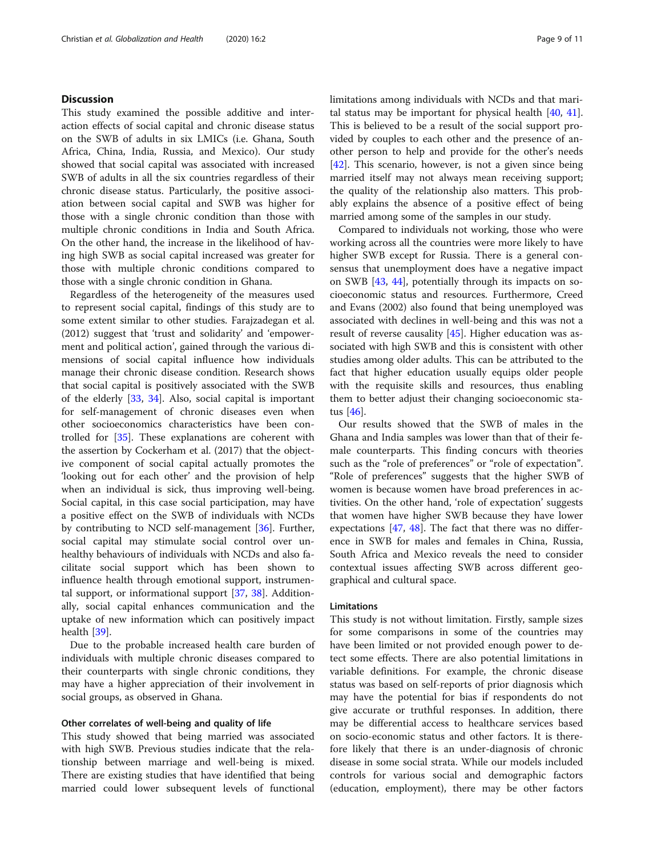# **Discussion**

This study examined the possible additive and interaction effects of social capital and chronic disease status on the SWB of adults in six LMICs (i.e. Ghana, South Africa, China, India, Russia, and Mexico). Our study showed that social capital was associated with increased SWB of adults in all the six countries regardless of their chronic disease status. Particularly, the positive association between social capital and SWB was higher for those with a single chronic condition than those with multiple chronic conditions in India and South Africa. On the other hand, the increase in the likelihood of having high SWB as social capital increased was greater for those with multiple chronic conditions compared to those with a single chronic condition in Ghana.

Regardless of the heterogeneity of the measures used to represent social capital, findings of this study are to some extent similar to other studies. Farajzadegan et al. (2012) suggest that 'trust and solidarity' and 'empowerment and political action', gained through the various dimensions of social capital influence how individuals manage their chronic disease condition. Research shows that social capital is positively associated with the SWB of the elderly [[33,](#page-10-0) [34\]](#page-10-0). Also, social capital is important for self-management of chronic diseases even when other socioeconomics characteristics have been controlled for [\[35](#page-10-0)]. These explanations are coherent with the assertion by Cockerham et al. (2017) that the objective component of social capital actually promotes the 'looking out for each other' and the provision of help when an individual is sick, thus improving well-being. Social capital, in this case social participation, may have a positive effect on the SWB of individuals with NCDs by contributing to NCD self-management [[36\]](#page-10-0). Further, social capital may stimulate social control over unhealthy behaviours of individuals with NCDs and also facilitate social support which has been shown to influence health through emotional support, instrumental support, or informational support [[37,](#page-10-0) [38\]](#page-10-0). Additionally, social capital enhances communication and the uptake of new information which can positively impact health [[39\]](#page-10-0).

Due to the probable increased health care burden of individuals with multiple chronic diseases compared to their counterparts with single chronic conditions, they may have a higher appreciation of their involvement in social groups, as observed in Ghana.

#### Other correlates of well-being and quality of life

This study showed that being married was associated with high SWB. Previous studies indicate that the relationship between marriage and well-being is mixed. There are existing studies that have identified that being married could lower subsequent levels of functional limitations among individuals with NCDs and that marital status may be important for physical health  $[40, 41]$  $[40, 41]$  $[40, 41]$  $[40, 41]$  $[40, 41]$ . This is believed to be a result of the social support provided by couples to each other and the presence of another person to help and provide for the other's needs [[42\]](#page-10-0). This scenario, however, is not a given since being married itself may not always mean receiving support; the quality of the relationship also matters. This probably explains the absence of a positive effect of being married among some of the samples in our study.

Compared to individuals not working, those who were working across all the countries were more likely to have higher SWB except for Russia. There is a general consensus that unemployment does have a negative impact on SWB [\[43](#page-10-0), [44\]](#page-10-0), potentially through its impacts on socioeconomic status and resources. Furthermore, Creed and Evans (2002) also found that being unemployed was associated with declines in well-being and this was not a result of reverse causality [[45](#page-10-0)]. Higher education was associated with high SWB and this is consistent with other studies among older adults. This can be attributed to the fact that higher education usually equips older people with the requisite skills and resources, thus enabling them to better adjust their changing socioeconomic status [\[46\]](#page-10-0).

Our results showed that the SWB of males in the Ghana and India samples was lower than that of their female counterparts. This finding concurs with theories such as the "role of preferences" or "role of expectation". "Role of preferences" suggests that the higher SWB of women is because women have broad preferences in activities. On the other hand, 'role of expectation' suggests that women have higher SWB because they have lower expectations [\[47](#page-10-0), [48](#page-10-0)]. The fact that there was no difference in SWB for males and females in China, Russia, South Africa and Mexico reveals the need to consider contextual issues affecting SWB across different geographical and cultural space.

## Limitations

This study is not without limitation. Firstly, sample sizes for some comparisons in some of the countries may have been limited or not provided enough power to detect some effects. There are also potential limitations in variable definitions. For example, the chronic disease status was based on self-reports of prior diagnosis which may have the potential for bias if respondents do not give accurate or truthful responses. In addition, there may be differential access to healthcare services based on socio-economic status and other factors. It is therefore likely that there is an under-diagnosis of chronic disease in some social strata. While our models included controls for various social and demographic factors (education, employment), there may be other factors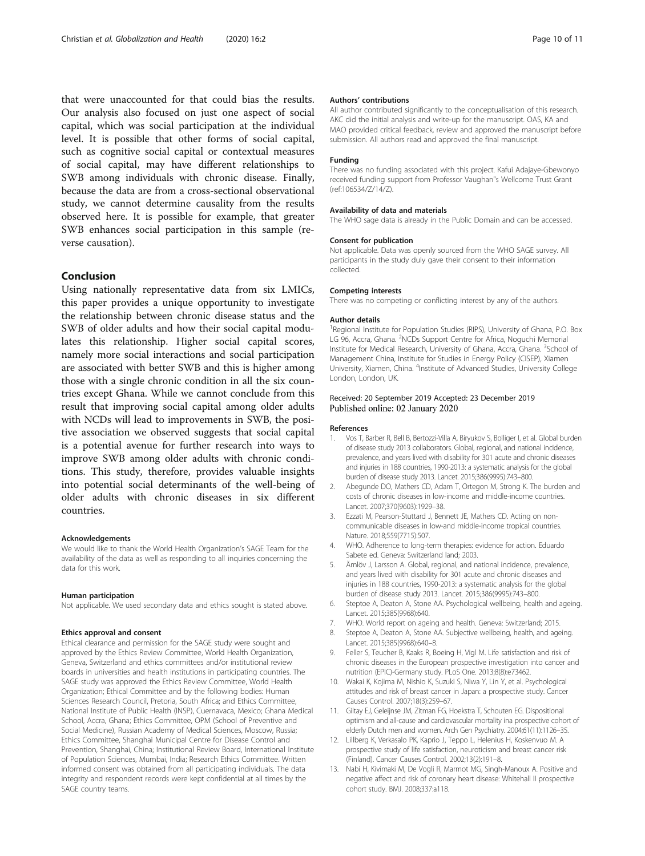<span id="page-9-0"></span>that were unaccounted for that could bias the results. Our analysis also focused on just one aspect of social capital, which was social participation at the individual level. It is possible that other forms of social capital, such as cognitive social capital or contextual measures of social capital, may have different relationships to SWB among individuals with chronic disease. Finally, because the data are from a cross-sectional observational study, we cannot determine causality from the results observed here. It is possible for example, that greater SWB enhances social participation in this sample (reverse causation).

### Conclusion

Using nationally representative data from six LMICs, this paper provides a unique opportunity to investigate the relationship between chronic disease status and the SWB of older adults and how their social capital modulates this relationship. Higher social capital scores, namely more social interactions and social participation are associated with better SWB and this is higher among those with a single chronic condition in all the six countries except Ghana. While we cannot conclude from this result that improving social capital among older adults with NCDs will lead to improvements in SWB, the positive association we observed suggests that social capital is a potential avenue for further research into ways to improve SWB among older adults with chronic conditions. This study, therefore, provides valuable insights into potential social determinants of the well-being of older adults with chronic diseases in six different countries.

#### Acknowledgements

We would like to thank the World Health Organization's SAGE Team for the availability of the data as well as responding to all inquiries concerning the data for this work.

#### Human participation

Not applicable. We used secondary data and ethics sought is stated above.

#### Ethics approval and consent

Ethical clearance and permission for the SAGE study were sought and approved by the Ethics Review Committee, World Health Organization, Geneva, Switzerland and ethics committees and/or institutional review boards in universities and health institutions in participating countries. The SAGE study was approved the Ethics Review Committee, World Health Organization; Ethical Committee and by the following bodies: Human Sciences Research Council, Pretoria, South Africa; and Ethics Committee, National Institute of Public Health (INSP), Cuernavaca, Mexico; Ghana Medical School, Accra, Ghana; Ethics Committee, OPM (School of Preventive and Social Medicine), Russian Academy of Medical Sciences, Moscow, Russia; Ethics Committee, Shanghai Municipal Centre for Disease Control and Prevention, Shanghai, China; Institutional Review Board, International Institute of Population Sciences, Mumbai, India; Research Ethics Committee. Written informed consent was obtained from all participating individuals. The data integrity and respondent records were kept confidential at all times by the SAGE country teams.

#### Authors' contributions

All author contributed significantly to the conceptualisation of this research. AKC did the initial analysis and write-up for the manuscript. OAS, KA and MAO provided critical feedback, review and approved the manuscript before submission. All authors read and approved the final manuscript.

#### Funding

There was no funding associated with this project. Kafui Adajaye-Gbewonyo received funding support from Professor Vaughan"s Wellcome Trust Grant (ref:106534/Z/14/Z).

#### Availability of data and materials

The WHO sage data is already in the Public Domain and can be accessed.

#### Consent for publication

Not applicable. Data was openly sourced from the WHO SAGE survey. All participants in the study duly gave their consent to their information collected.

#### Competing interests

There was no competing or conflicting interest by any of the authors.

#### Author details

<sup>1</sup> Regional Institute for Population Studies (RIPS), University of Ghana, P.O. Box LG 96, Accra, Ghana. <sup>2</sup>NCDs Support Centre for Africa, Noguchi Memorial Institute for Medical Research, University of Ghana, Accra, Ghana. <sup>3</sup>School of Management China, Institute for Studies in Energy Policy (CISEP), Xiamen University, Xiamen, China. <sup>4</sup>Institute of Advanced Studies, University College London, London, UK.

#### Received: 20 September 2019 Accepted: 23 December 2019 Published online: 02 January 2020

#### References

- 1. Vos T, Barber R, Bell B, Bertozzi-Villa A, Biryukov S, Bolliger I, et al. Global burden of disease study 2013 collaborators. Global, regional, and national incidence, prevalence, and years lived with disability for 301 acute and chronic diseases and injuries in 188 countries, 1990-2013: a systematic analysis for the global burden of disease study 2013. Lancet. 2015;386(9995):743–800.
- 2. Abegunde DO, Mathers CD, Adam T, Ortegon M, Strong K. The burden and costs of chronic diseases in low-income and middle-income countries. Lancet. 2007;370(9603):1929–38.
- 3. Ezzati M, Pearson-Stuttard J, Bennett JE, Mathers CD. Acting on noncommunicable diseases in low-and middle-income tropical countries. Nature. 2018;559(7715):507.
- 4. WHO. Adherence to long-term therapies: evidence for action. Eduardo Sabete ed. Geneva: Switzerland land; 2003.
- 5. Ärnlöv J, Larsson A. Global, regional, and national incidence, prevalence, and years lived with disability for 301 acute and chronic diseases and injuries in 188 countries, 1990-2013: a systematic analysis for the global burden of disease study 2013. Lancet. 2015;386(9995):743–800.
- 6. Steptoe A, Deaton A, Stone AA. Psychological wellbeing, health and ageing. Lancet. 2015;385(9968):640.
- 7. WHO. World report on ageing and health. Geneva: Switzerland; 2015.
- 8. Steptoe A, Deaton A, Stone AA. Subjective wellbeing, health, and ageing. Lancet. 2015;385(9968):640–8.
- 9. Feller S, Teucher B, Kaaks R, Boeing H, Vigl M. Life satisfaction and risk of chronic diseases in the European prospective investigation into cancer and nutrition (EPIC)-Germany study. PLoS One. 2013;8(8):e73462.
- 10. Wakai K, Kojima M, Nishio K, Suzuki S, Niwa Y, Lin Y, et al. Psychological attitudes and risk of breast cancer in Japan: a prospective study. Cancer Causes Control. 2007;18(3):259–67.
- 11. Giltay EJ, Geleijnse JM, Zitman FG, Hoekstra T, Schouten EG. Dispositional optimism and all-cause and cardiovascular mortality ina prospective cohort of elderly Dutch men and women. Arch Gen Psychiatry. 2004;61(11):1126–35.
- 12. Lillberg K, Verkasalo PK, Kaprio J, Teppo L, Helenius H, Koskenvuo M. A prospective study of life satisfaction, neuroticism and breast cancer risk (Finland). Cancer Causes Control. 2002;13(2):191–8.
- 13. Nabi H, Kivimaki M, De Vogli R, Marmot MG, Singh-Manoux A. Positive and negative affect and risk of coronary heart disease: Whitehall II prospective cohort study. BMJ. 2008;337:a118.